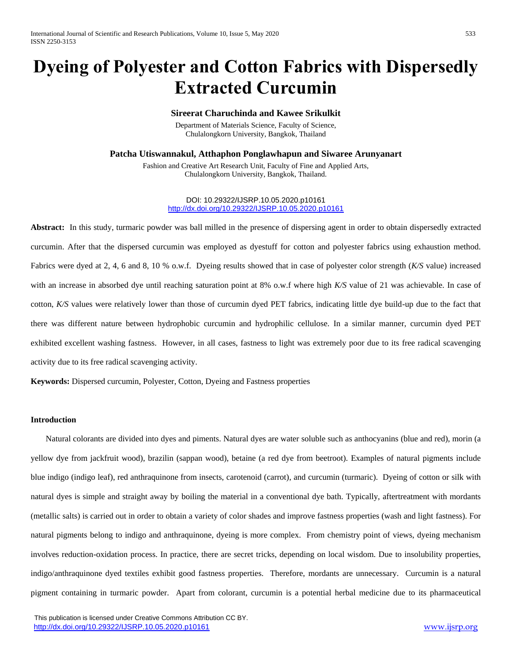# **Dyeing of Polyester and Cotton Fabrics with Dispersedly Extracted Curcumin**

# **Sireerat Charuchinda and Kawee Srikulkit**

Department of Materials Science, Faculty of Science, Chulalongkorn University, Bangkok, Thailand

**Patcha Utiswannakul, Atthaphon Ponglawhapun and Siwaree Arunyanart**

Fashion and Creative Art Research Unit, Faculty of Fine and Applied Arts, Chulalongkorn University, Bangkok, Thailand.

> DOI: 10.29322/IJSRP.10.05.2020.p10161 <http://dx.doi.org/10.29322/IJSRP.10.05.2020.p10161>

**Abstract:** In this study, turmaric powder was ball milled in the presence of dispersing agent in order to obtain dispersedly extracted curcumin. After that the dispersed curcumin was employed as dyestuff for cotton and polyester fabrics using exhaustion method. Fabrics were dyed at 2, 4, 6 and 8, 10 % o.w.f. Dyeing results showed that in case of polyester color strength (*K/S* value) increased with an increase in absorbed dye until reaching saturation point at 8% o.w.f where high *K/S* value of 21 was achievable. In case of cotton, *K/S* values were relatively lower than those of curcumin dyed PET fabrics, indicating little dye build-up due to the fact that there was different nature between hydrophobic curcumin and hydrophilic cellulose. In a similar manner, curcumin dyed PET exhibited excellent washing fastness. However, in all cases, fastness to light was extremely poor due to its free radical scavenging activity due to its free radical scavenging activity.

**Keywords:** Dispersed curcumin, Polyester, Cotton, Dyeing and Fastness properties

# **Introduction**

Natural colorants are divided into dyes and piments. Natural dyes are water soluble such as anthocyanins (blue and red), morin (a yellow dye from jackfruit wood), brazilin (sappan wood), betaine (a red dye from beetroot). Examples of natural pigments include blue indigo (indigo leaf), red anthraquinone from insects, carotenoid (carrot), and curcumin (turmaric). Dyeing of cotton or silk with natural dyes is simple and straight away by boiling the material in a conventional dye bath. Typically, aftertreatment with mordants (metallic salts) is carried out in order to obtain a variety of color shades and improve fastness properties (wash and light fastness). For natural pigments belong to indigo and anthraquinone, dyeing is more complex. From chemistry point of views, dyeing mechanism involves reduction-oxidation process. In practice, there are secret tricks, depending on local wisdom. Due to insolubility properties, indigo/anthraquinone dyed textiles exhibit good fastness properties. Therefore, mordants are unnecessary. Curcumin is a natural pigment containing in turmaric powder. Apart from colorant, curcumin is a potential herbal medicine due to its pharmaceutical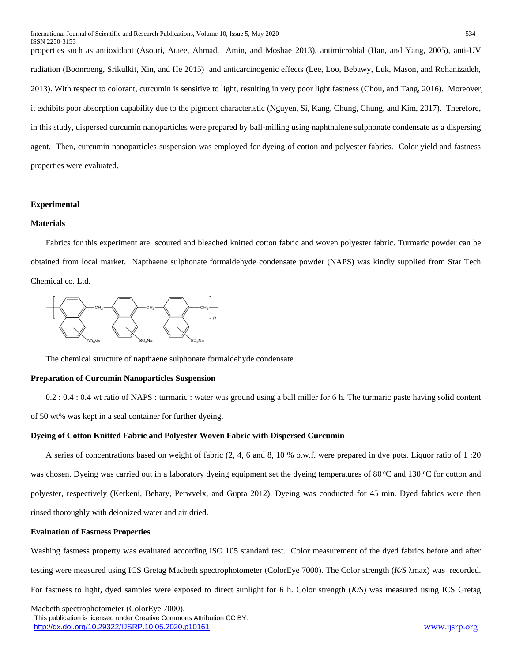properties such as antioxidant (Asouri, Ataee, Ahmad, Amin, and Moshae 2013), antimicrobial (Han, and Yang, 2005), anti-UV radiation (Boonroeng, Srikulkit, Xin, and He 2015) and anticarcinogenic effects (Lee, Loo, Bebawy, Luk, Mason, and Rohanizadeh, 2013). With respect to colorant, curcumin is sensitive to light, resulting in very poor light fastness (Chou, and Tang, 2016). Moreover, it exhibits poor absorption capability due to the pigment characteristic (Nguyen, Si, Kang, Chung, Chung, and Kim, 2017). Therefore, in this study, dispersed curcumin nanoparticles were prepared by ball-milling using naphthalene sulphonate condensate as a dispersing agent. Then, curcumin nanoparticles suspension was employed for dyeing of cotton and polyester fabrics. Color yield and fastness properties were evaluated.

#### **Experimental**

# **Materials**

Fabrics for this experiment are scoured and bleached knitted cotton fabric and woven polyester fabric. Turmaric powder can be obtained from local market. Napthaene sulphonate formaldehyde condensate powder (NAPS) was kindly supplied from Star Tech Chemical co. Ltd.



The chemical structure of napthaene sulphonate formaldehyde condensate

#### **Preparation of Curcumin Nanoparticles Suspension**

0.2 : 0.4 : 0.4 wt ratio of NAPS : turmaric : water was ground using a ball miller for 6 h. The turmaric paste having solid content of 50 wt% was kept in a seal container for further dyeing.

#### **Dyeing of Cotton Knitted Fabric and Polyester Woven Fabric with Dispersed Curcumin**

A series of concentrations based on weight of fabric (2, 4, 6 and 8, 10 % o.w.f. were prepared in dye pots. Liquor ratio of 1 :20 was chosen. Dyeing was carried out in a laboratory dyeing equipment set the dyeing temperatures of 80 °C and 130 °C for cotton and polyester, respectively (Kerkeni, Behary, Perwvelx, and Gupta 2012). Dyeing was conducted for 45 min. Dyed fabrics were then rinsed thoroughly with deionized water and air dried.

#### **Evaluation of Fastness Properties**

Washing fastness property was evaluated according ISO 105 standard test. Color measurement of the dyed fabrics before and after testing were measured using ICS Gretag Macbeth spectrophotometer (ColorEye 7000). The Color strength (*K/S* λmax) was recorded. For fastness to light, dyed samples were exposed to direct sunlight for 6 h. Color strength (*K/S*) was measured using ICS Gretag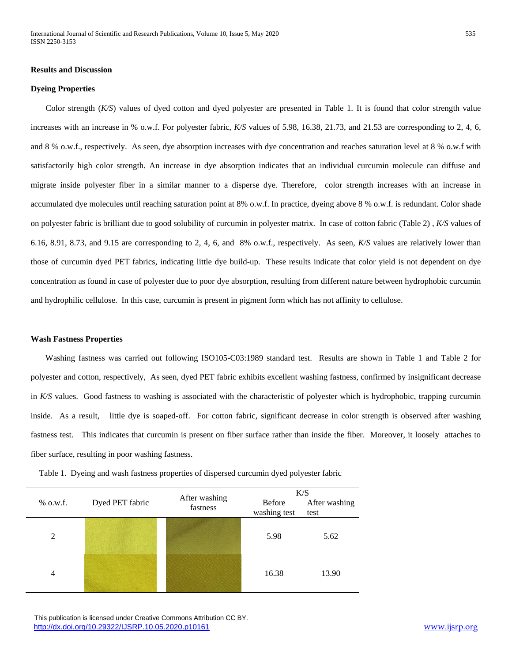#### **Results and Discussion**

#### **Dyeing Properties**

Color strength (*K/S*) values of dyed cotton and dyed polyester are presented in Table 1. It is found that color strength value increases with an increase in % o.w.f. For polyester fabric, *K/S* values of 5.98, 16.38, 21.73, and 21.53 are corresponding to 2, 4, 6, and 8 % o.w.f., respectively. As seen, dye absorption increases with dye concentration and reaches saturation level at 8 % o.w.f with satisfactorily high color strength. An increase in dye absorption indicates that an individual curcumin molecule can diffuse and migrate inside polyester fiber in a similar manner to a disperse dye. Therefore, color strength increases with an increase in accumulated dye molecules until reaching saturation point at 8% o.w.f. In practice, dyeing above 8 % o.w.f. is redundant. Color shade on polyester fabric is brilliant due to good solubility of curcumin in polyester matrix. In case of cotton fabric (Table 2) , *K/S* values of 6.16, 8.91, 8.73, and 9.15 are corresponding to 2, 4, 6, and 8% o.w.f., respectively. As seen, *K/S* values are relatively lower than those of curcumin dyed PET fabrics, indicating little dye build-up. These results indicate that color yield is not dependent on dye concentration as found in case of polyester due to poor dye absorption, resulting from different nature between hydrophobic curcumin and hydrophilic cellulose. In this case, curcumin is present in pigment form which has not affinity to cellulose.

#### **Wash Fastness Properties**

Washing fastness was carried out following ISO105-C03:1989 standard test. Results are shown in Table 1 and Table 2 for polyester and cotton, respectively, As seen, dyed PET fabric exhibits excellent washing fastness, confirmed by insignificant decrease in *K/S* values. Good fastness to washing is associated with the characteristic of polyester which is hydrophobic, trapping curcumin inside. As a result, little dye is soaped-off. For cotton fabric, significant decrease in color strength is observed after washing fastness test. This indicates that curcumin is present on fiber surface rather than inside the fiber. Moreover, it loosely attaches to fiber surface, resulting in poor washing fastness.

| $%$ o.w.f. | Dyed PET fabric | After washing<br>fastness | K/S          |               |
|------------|-----------------|---------------------------|--------------|---------------|
|            |                 |                           | Before       | After washing |
|            |                 |                           | washing test | test          |
| 2          |                 |                           | 5.98         | 5.62          |
| 4          |                 |                           | 16.38        | 13.90         |

Table 1. Dyeing and wash fastness properties of dispersed curcumin dyed polyester fabric

 This publication is licensed under Creative Commons Attribution CC BY. <http://dx.doi.org/10.29322/IJSRP.10.05.2020.p10161> [www.ijsrp.org](http://ijsrp.org/)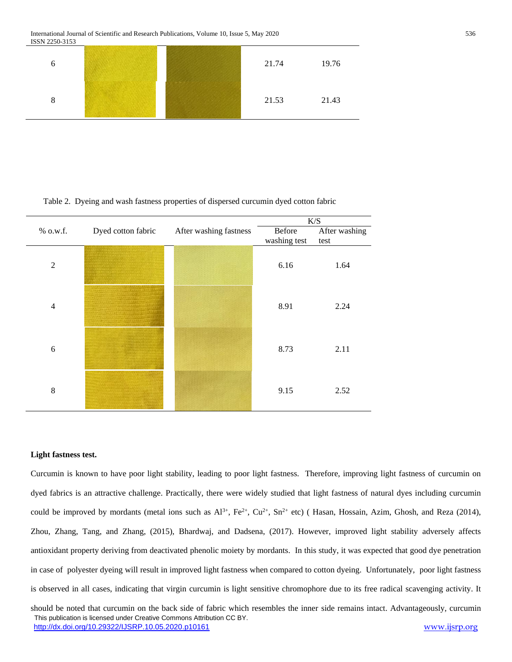International Journal of Scientific and Research Publications, Volume 10, Issue 5, May 2020 536 ISSN 2250-3153



#### Table 2. Dyeing and wash fastness properties of dispersed curcumin dyed cotton fabric

|                |                    |                        | K/S          |               |
|----------------|--------------------|------------------------|--------------|---------------|
| % o.w.f.       | Dyed cotton fabric | After washing fastness | Before       | After washing |
|                |                    |                        | washing test | test          |
| $\overline{2}$ |                    |                        | 6.16         | 1.64          |
| $\overline{4}$ |                    |                        | 8.91         | 2.24          |
| 6              |                    |                        | 8.73         | 2.11          |
| 8              |                    |                        | 9.15         | 2.52          |

#### **Light fastness test.**

Curcumin is known to have poor light stability, leading to poor light fastness. Therefore, improving light fastness of curcumin on dyed fabrics is an attractive challenge. Practically, there were widely studied that light fastness of natural dyes including curcumin could be improved by mordants (metal ions such as  $Al^{3+}$ ,  $Fe^{2+}$ ,  $Cu^{2+}$ ,  $Sn^{2+}$  etc) (Hasan, Hossain, Azim, Ghosh, and Reza (2014), Zhou, Zhang, Tang, and Zhang, (2015), Bhardwaj, and Dadsena, (2017). However, improved light stability adversely affects antioxidant property deriving from deactivated phenolic moiety by mordants. In this study, it was expected that good dye penetration in case of polyester dyeing will result in improved light fastness when compared to cotton dyeing. Unfortunately, poor light fastness is observed in all cases, indicating that virgin curcumin is light sensitive chromophore due to its free radical scavenging activity. It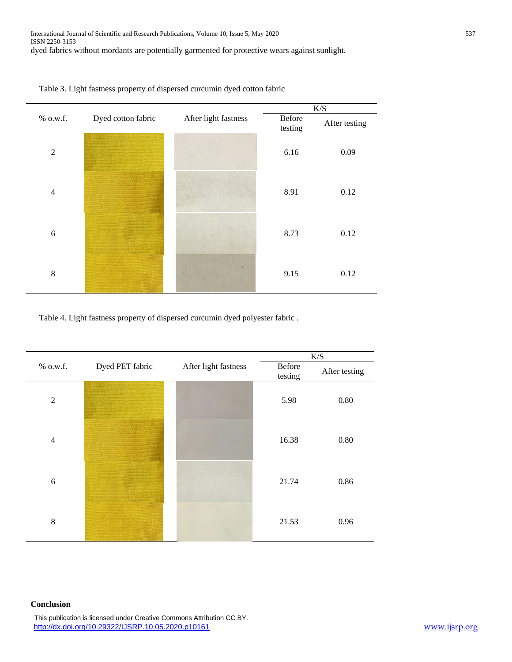



Table 4. Light fastness property of dispersed curcumin dyed polyester fabric .

|                | Dyed PET fabric | After light fastness | K/S               |               |
|----------------|-----------------|----------------------|-------------------|---------------|
| % o.w.f.       |                 |                      | Before<br>testing | After testing |
| $\overline{2}$ |                 |                      | 5.98              | 0.80          |
| $\overline{4}$ |                 |                      | 16.38             | 0.80          |
| 6              |                 |                      | 21.74             | 0.86          |
| 8              |                 |                      | 21.53             | 0.96          |

# **Conclusion**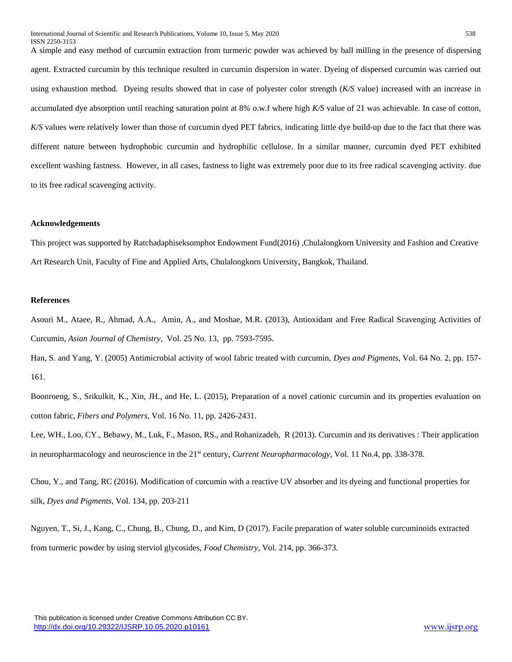A simple and easy method of curcumin extraction from turmeric powder was achieved by ball milling in the presence of dispersing agent. Extracted curcumin by this technique resulted in curcumin dispersion in water. Dyeing of dispersed curcumin was carried out using exhaustion method. Dyeing results showed that in case of polyester color strength (*K/S* value) increased with an increase in accumulated dye absorption until reaching saturation point at 8% o.w.f where high *K/S* value of 21 was achievable. In case of cotton, *K/S* values were relatively lower than those of curcumin dyed PET fabrics, indicating little dye build-up due to the fact that there was different nature between hydrophobic curcumin and hydrophilic cellulose. In a similar manner, curcumin dyed PET exhibited excellent washing fastness. However, in all cases, fastness to light was extremely poor due to its free radical scavenging activity. due to its free radical scavenging activity.

# **Acknowledgements**

This project was supported by Ratchadaphiseksomphot Endowment Fund(2016) ,Chulalongkorn University and Fashion and Creative Art Research Unit, Faculty of Fine and Applied Arts, Chulalongkorn University, Bangkok, Thailand.

# **References**

Asouri M., Ataee, R., Ahmad, A.A., Amin, A., and Moshae, M.R. (2013), Antioxidant and Free Radical Scavenging Activities of Curcumin, *Asian Journal of Chemistry*, Vol. 25 No. 13, pp. 7593-7595.

Han, S. and Yang, Y. (2005) Antimicrobial activity of wool fabric treated with curcumin, *Dyes and Pigments*, Vol. 64 No. 2, pp. 157- 161.

Boonroeng, S., Srikulkit, K., Xin, JH., and He, L. (2015), Preparation of a novel cationic curcumin and its properties evaluation on cotton fabric, *Fibers and Polymers,* Vol. 16 No. 11, pp. 2426-2431.

Lee, WH., Loo, CY., Bebawy, M., Luk, F., Mason, RS., and Rohanizadeh, R (2013). Curcumin and its derivatives : Their application in neuropharmacology and neuroscience in the 21<sup>st</sup> century, *Current Neuropharmacology*, Vol. 11 No.4, pp. 338-378.

Chou, Y., and Tang, RC (2016). Modification of curcumin with a reactive UV absorber and its dyeing and functional properties for silk, *Dyes and Pigments,* Vol. 134, pp. 203-211

Nguyen, T., Si, J., Kang, C., Chung, B., Chung, D., and Kim, D (2017). Facile preparation of water soluble curcuminoids extracted from turmeric powder by using sterviol glycosides, *Food Chemistry,* Vol. 214, pp. 366-373.